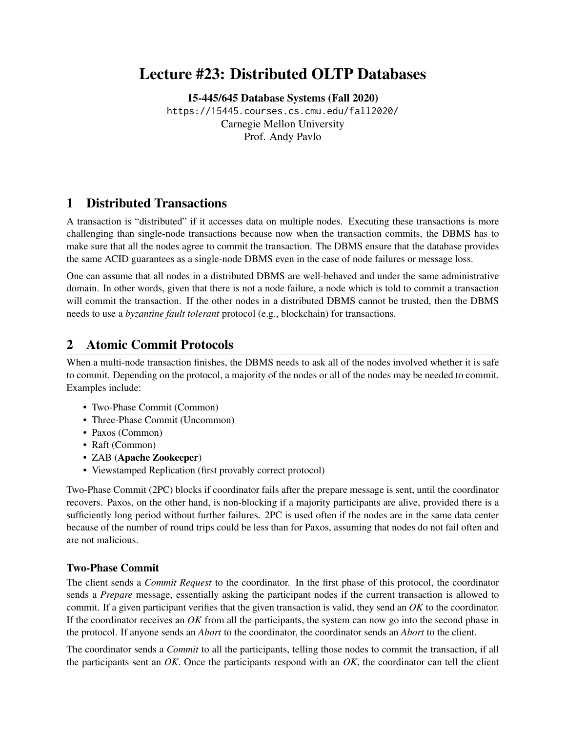# Lecture #23: Distributed OLTP Databases

[15-445/645 Database Systems \(Fall 2020\)](https://15445.courses.cs.cmu.edu/fall2020/) <https://15445.courses.cs.cmu.edu/fall2020/> Carnegie Mellon University [Prof. Andy Pavlo](http://www.cs.cmu.edu/~pavlo/)

# 1 Distributed Transactions

A transaction is "distributed" if it accesses data on multiple nodes. Executing these transactions is more challenging than single-node transactions because now when the transaction commits, the DBMS has to make sure that all the nodes agree to commit the transaction. The DBMS ensure that the database provides the same ACID guarantees as a single-node DBMS even in the case of node failures or message loss.

One can assume that all nodes in a distributed DBMS are well-behaved and under the same administrative domain. In other words, given that there is not a node failure, a node which is told to commit a transaction will commit the transaction. If the other nodes in a distributed DBMS cannot be trusted, then the DBMS needs to use a *byzantine fault tolerant* protocol (e.g., blockchain) for transactions.

# 2 Atomic Commit Protocols

When a multi-node transaction finishes, the DBMS needs to ask all of the nodes involved whether it is safe to commit. Depending on the protocol, a majority of the nodes or all of the nodes may be needed to commit. Examples include:

- Two-Phase Commit (Common)
- Three-Phase Commit (Uncommon)
- Paxos (Common)
- Raft (Common)
- ZAB (Apache Zookeeper)
- Viewstamped Replication (first provably correct protocol)

Two-Phase Commit (2PC) blocks if coordinator fails after the prepare message is sent, until the coordinator recovers. Paxos, on the other hand, is non-blocking if a majority participants are alive, provided there is a sufficiently long period without further failures. 2PC is used often if the nodes are in the same data center because of the number of round trips could be less than for Paxos, assuming that nodes do not fail often and are not malicious.

#### Two-Phase Commit

The client sends a *Commit Request* to the coordinator. In the first phase of this protocol, the coordinator sends a *Prepare* message, essentially asking the participant nodes if the current transaction is allowed to commit. If a given participant verifies that the given transaction is valid, they send an *OK* to the coordinator. If the coordinator receives an *OK* from all the participants, the system can now go into the second phase in the protocol. If anyone sends an *Abort* to the coordinator, the coordinator sends an *Abort* to the client.

The coordinator sends a *Commit* to all the participants, telling those nodes to commit the transaction, if all the participants sent an *OK*. Once the participants respond with an *OK*, the coordinator can tell the client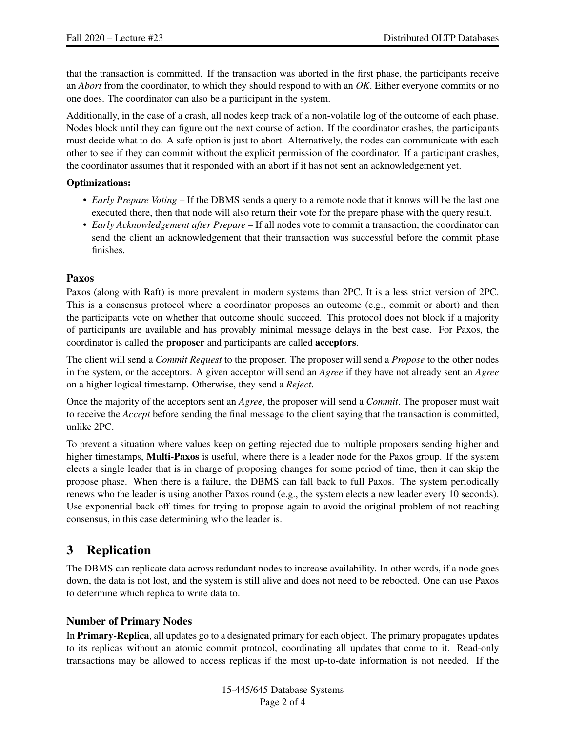that the transaction is committed. If the transaction was aborted in the first phase, the participants receive an *Abort* from the coordinator, to which they should respond to with an *OK*. Either everyone commits or no one does. The coordinator can also be a participant in the system.

Additionally, in the case of a crash, all nodes keep track of a non-volatile log of the outcome of each phase. Nodes block until they can figure out the next course of action. If the coordinator crashes, the participants must decide what to do. A safe option is just to abort. Alternatively, the nodes can communicate with each other to see if they can commit without the explicit permission of the coordinator. If a participant crashes, the coordinator assumes that it responded with an abort if it has not sent an acknowledgement yet.

#### Optimizations:

- *Early Prepare Voting* If the DBMS sends a query to a remote node that it knows will be the last one executed there, then that node will also return their vote for the prepare phase with the query result.
- *Early Acknowledgement after Prepare* If all nodes vote to commit a transaction, the coordinator can send the client an acknowledgement that their transaction was successful before the commit phase finishes.

## Paxos

Paxos (along with Raft) is more prevalent in modern systems than 2PC. It is a less strict version of 2PC. This is a consensus protocol where a coordinator proposes an outcome (e.g., commit or abort) and then the participants vote on whether that outcome should succeed. This protocol does not block if a majority of participants are available and has provably minimal message delays in the best case. For Paxos, the coordinator is called the proposer and participants are called acceptors.

The client will send a *Commit Request* to the proposer. The proposer will send a *Propose* to the other nodes in the system, or the acceptors. A given acceptor will send an *Agree* if they have not already sent an *Agree* on a higher logical timestamp. Otherwise, they send a *Reject*.

Once the majority of the acceptors sent an *Agree*, the proposer will send a *Commit*. The proposer must wait to receive the *Accept* before sending the final message to the client saying that the transaction is committed, unlike 2PC.

To prevent a situation where values keep on getting rejected due to multiple proposers sending higher and higher timestamps, **Multi-Paxos** is useful, where there is a leader node for the Paxos group. If the system elects a single leader that is in charge of proposing changes for some period of time, then it can skip the propose phase. When there is a failure, the DBMS can fall back to full Paxos. The system periodically renews who the leader is using another Paxos round (e.g., the system elects a new leader every 10 seconds). Use exponential back off times for trying to propose again to avoid the original problem of not reaching consensus, in this case determining who the leader is.

# 3 Replication

The DBMS can replicate data across redundant nodes to increase availability. In other words, if a node goes down, the data is not lost, and the system is still alive and does not need to be rebooted. One can use Paxos to determine which replica to write data to.

## Number of Primary Nodes

In **Primary-Replica**, all updates go to a designated primary for each object. The primary propagates updates to its replicas without an atomic commit protocol, coordinating all updates that come to it. Read-only transactions may be allowed to access replicas if the most up-to-date information is not needed. If the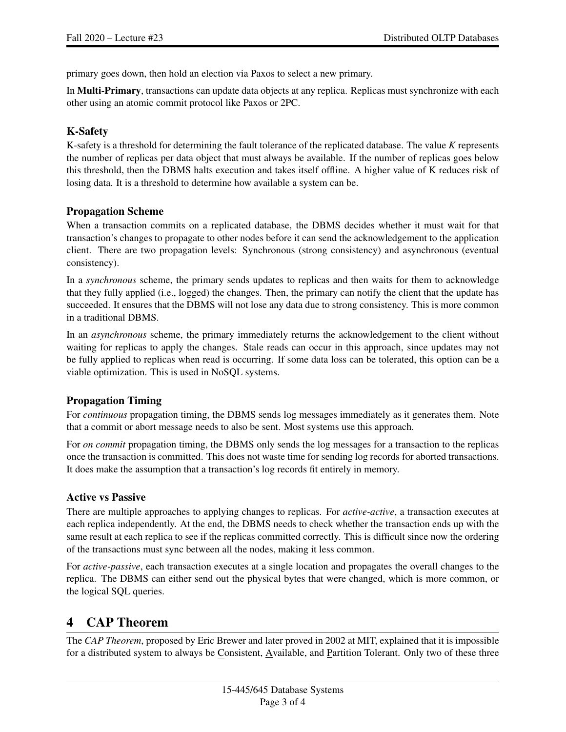primary goes down, then hold an election via Paxos to select a new primary.

In Multi-Primary, transactions can update data objects at any replica. Replicas must synchronize with each other using an atomic commit protocol like Paxos or 2PC.

### K-Safety

K-safety is a threshold for determining the fault tolerance of the replicated database. The value *K* represents the number of replicas per data object that must always be available. If the number of replicas goes below this threshold, then the DBMS halts execution and takes itself offline. A higher value of K reduces risk of losing data. It is a threshold to determine how available a system can be.

#### Propagation Scheme

When a transaction commits on a replicated database, the DBMS decides whether it must wait for that transaction's changes to propagate to other nodes before it can send the acknowledgement to the application client. There are two propagation levels: Synchronous (strong consistency) and asynchronous (eventual consistency).

In a *synchronous* scheme, the primary sends updates to replicas and then waits for them to acknowledge that they fully applied (i.e., logged) the changes. Then, the primary can notify the client that the update has succeeded. It ensures that the DBMS will not lose any data due to strong consistency. This is more common in a traditional DBMS.

In an *asynchronous* scheme, the primary immediately returns the acknowledgement to the client without waiting for replicas to apply the changes. Stale reads can occur in this approach, since updates may not be fully applied to replicas when read is occurring. If some data loss can be tolerated, this option can be a viable optimization. This is used in NoSQL systems.

## Propagation Timing

For *continuous* propagation timing, the DBMS sends log messages immediately as it generates them. Note that a commit or abort message needs to also be sent. Most systems use this approach.

For *on commit* propagation timing, the DBMS only sends the log messages for a transaction to the replicas once the transaction is committed. This does not waste time for sending log records for aborted transactions. It does make the assumption that a transaction's log records fit entirely in memory.

#### Active vs Passive

There are multiple approaches to applying changes to replicas. For *active-active*, a transaction executes at each replica independently. At the end, the DBMS needs to check whether the transaction ends up with the same result at each replica to see if the replicas committed correctly. This is difficult since now the ordering of the transactions must sync between all the nodes, making it less common.

For *active-passive*, each transaction executes at a single location and propagates the overall changes to the replica. The DBMS can either send out the physical bytes that were changed, which is more common, or the logical SQL queries.

## 4 CAP Theorem

The *CAP Theorem*, proposed by Eric Brewer and later proved in 2002 at MIT, explained that it is impossible for a distributed system to always be Consistent, Available, and Partition Tolerant. Only two of these three